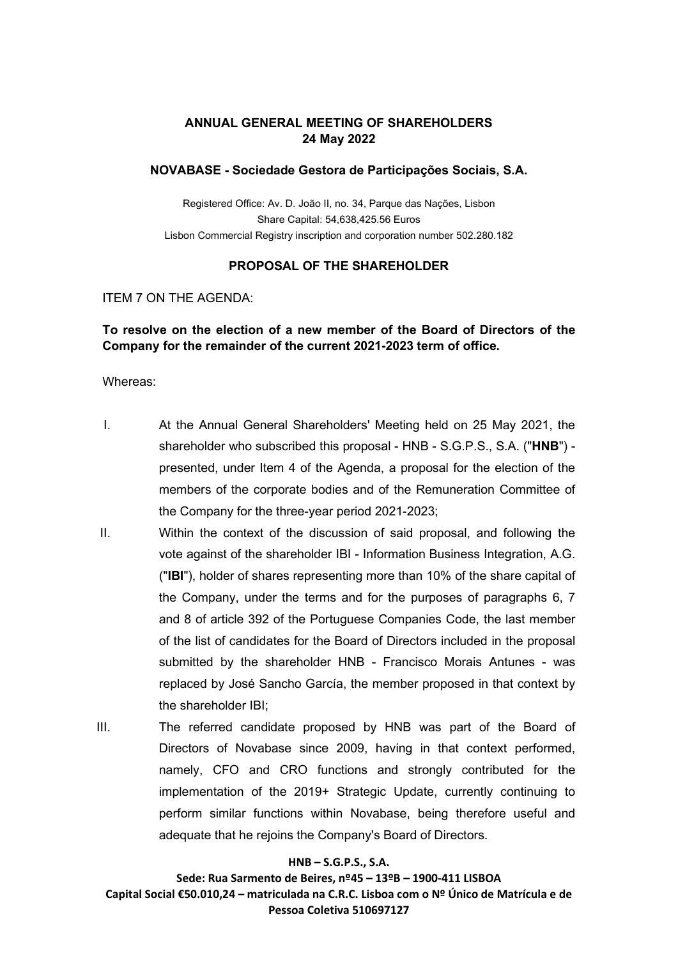#### **ANNUAL GENERAL MEETING OF SHAREHOLDERS 24 May 2022**

#### **NOVABASE - Sociedade Gestora de Participações Sociais, S.A.**

Registered Office: Av. D. João II, no. 34, Parque das Nações, Lisbon Share Capital: 54,638,425.56 Euros Lisbon Commercial Registry inscription and corporation number 502.280.182

#### **PROPOSAL OF THE SHAREHOLDER**

#### ITEM 7 ON THE AGENDA:

#### **To resolve on the election of a new member of the Board of Directors of the Company for the remainder of the current 2021-2023 term of office.**

#### Whereas:

- I. At the Annual General Shareholders' Meeting held on 25 May 2021, the shareholder who subscribed this proposal - HNB - S.G.P.S., S.A. ("**HNB**") presented, under Item 4 of the Agenda, a proposal for the election of the members of the corporate bodies and of the Remuneration Committee of the Company for the three-year period 2021-2023;
- II. Within the context of the discussion of said proposal, and following the vote against of the shareholder IBI - Information Business Integration, A.G. ("**IBI**"), holder of shares representing more than 10% of the share capital of the Company, under the terms and for the purposes of paragraphs 6, 7 and 8 of article 392 of the Portuguese Companies Code, the last member of the list of candidates for the Board of Directors included in the proposal submitted by the shareholder HNB - Francisco Morais Antunes - was replaced by José Sancho García, the member proposed in that context by the shareholder IBI;
- III. The referred candidate proposed by HNB was part of the Board of Directors of Novabase since 2009, having in that context performed, namely, CFO and CRO functions and strongly contributed for the implementation of the 2019+ Strategic Update, currently continuing to perform similar functions within Novabase, being therefore useful and adequate that he rejoins the Company's Board of Directors.

#### **HNB – S.G.P.S., S.A.**

**Sede: Rua Sarmento de Beires, nº45 – 13ºB – 1900-411 LISBOA Capital Social €50.010,24 – matriculada na C.R.C. Lisboa com o Nº Único de Matrícula e de Pessoa Coletiva 510697127**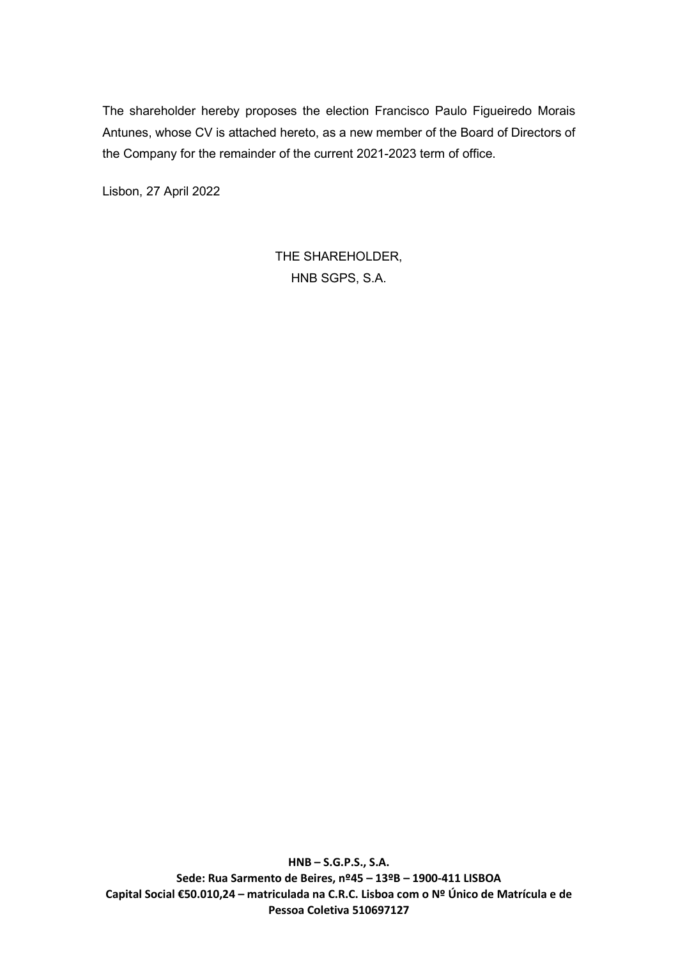The shareholder hereby proposes the election Francisco Paulo Figueiredo Morais Antunes, whose CV is attached hereto, as a new member of the Board of Directors of the Company for the remainder of the current 2021-2023 term of office.

Lisbon, 27 April 2022

THE SHAREHOLDER, HNB SGPS, S.A.